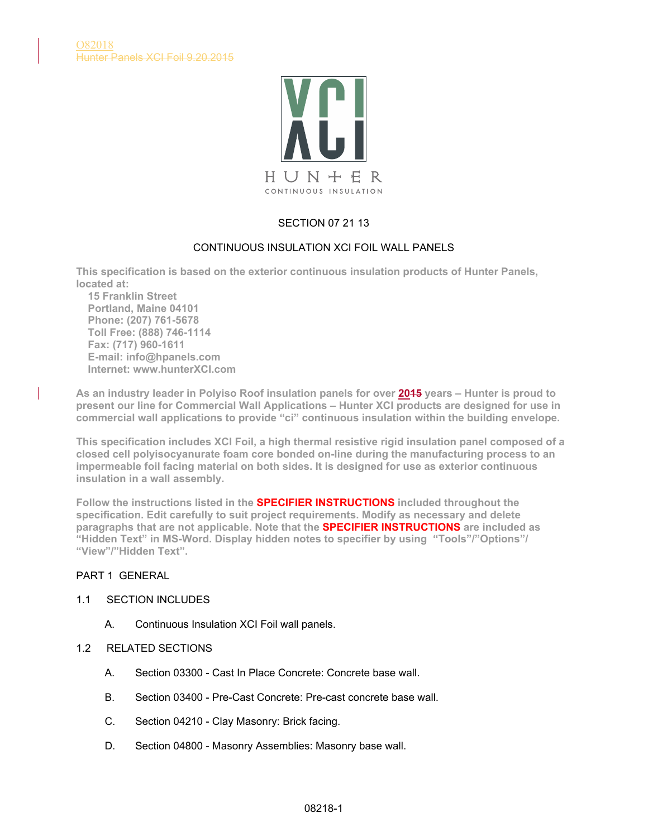

# SECTION 07 21 13

# CONTINUOUS INSULATION XCI FOIL WALL PANELS

**This specification is based on the exterior continuous insulation products of Hunter Panels, located at:**

 **15 Franklin Street Portland, Maine 04101 Phone: (207) 761-5678 Toll Free: (888) 746-1114 Fax: (717) 960-1611 E-mail: info@hpanels.com Internet: www.hunterXCI.com**

**As an industry leader in Polyiso Roof insulation panels for over 2015 years – Hunter is proud to present our line for Commercial Wall Applications – Hunter XCI products are designed for use in commercial wall applications to provide "ci" continuous insulation within the building envelope.**

**This specification includes XCI Foil, a high thermal resistive rigid insulation panel composed of a closed cell polyisocyanurate foam core bonded on-line during the manufacturing process to an impermeable foil facing material on both sides. It is designed for use as exterior continuous insulation in a wall assembly.**

**Follow the instructions listed in the SPECIFIER INSTRUCTIONS included throughout the specification. Edit carefully to suit project requirements. Modify as necessary and delete paragraphs that are not applicable. Note that the SPECIFIER INSTRUCTIONS are included as "Hidden Text" in MS-Word. Display hidden notes to specifier by using "Tools"/"Options"/ "View"/"Hidden Text".**

# PART 1 GENERAL

### 1.1 SECTION INCLUDES

- A. Continuous Insulation XCI Foil wall panels.
- 1.2 RELATED SECTIONS
	- A. Section 03300 Cast In Place Concrete: Concrete base wall.
	- B. Section 03400 Pre-Cast Concrete: Pre-cast concrete base wall.
	- C. Section 04210 Clay Masonry: Brick facing.
	- D. Section 04800 Masonry Assemblies: Masonry base wall.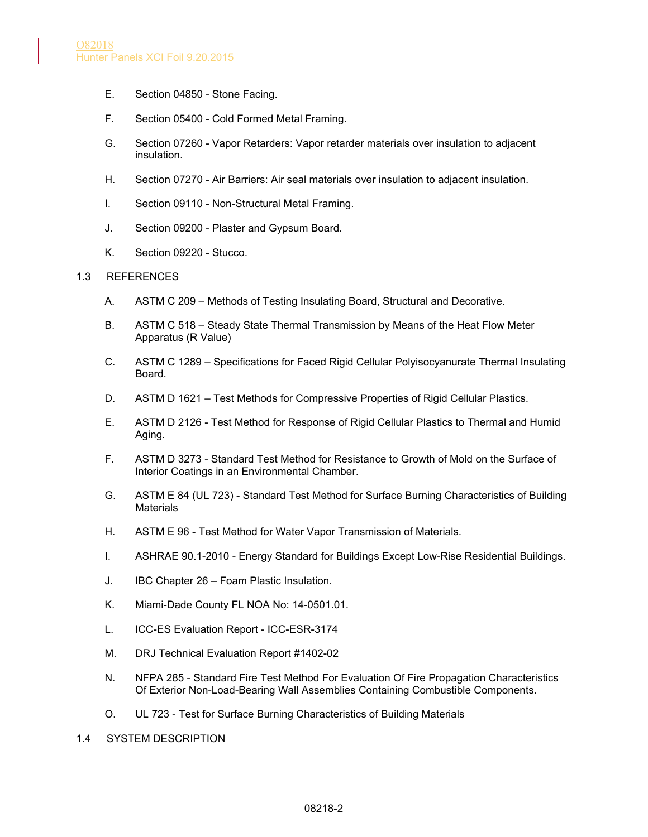- E. Section 04850 Stone Facing.
- F. Section 05400 Cold Formed Metal Framing.
- G. Section 07260 Vapor Retarders: Vapor retarder materials over insulation to adjacent insulation.
- H. Section 07270 Air Barriers: Air seal materials over insulation to adjacent insulation.
- I. Section 09110 Non-Structural Metal Framing.
- J. Section 09200 Plaster and Gypsum Board.
- K. Section 09220 Stucco.

#### 1.3 REFERENCES

- A. ASTM C 209 Methods of Testing Insulating Board, Structural and Decorative.
- B. ASTM C 518 Steady State Thermal Transmission by Means of the Heat Flow Meter Apparatus (R Value)
- C. ASTM C 1289 Specifications for Faced Rigid Cellular Polyisocyanurate Thermal Insulating Board.
- D. ASTM D 1621 Test Methods for Compressive Properties of Rigid Cellular Plastics.
- E. ASTM D 2126 Test Method for Response of Rigid Cellular Plastics to Thermal and Humid Aging.
- F. ASTM D 3273 Standard Test Method for Resistance to Growth of Mold on the Surface of Interior Coatings in an Environmental Chamber.
- G. ASTM E 84 (UL 723) Standard Test Method for Surface Burning Characteristics of Building **Materials**
- H. ASTM E 96 Test Method for Water Vapor Transmission of Materials.
- I. ASHRAE 90.1-2010 Energy Standard for Buildings Except Low-Rise Residential Buildings.
- J. IBC Chapter 26 Foam Plastic Insulation.
- K. Miami-Dade County FL NOA No: 14-0501.01.
- L. ICC-ES Evaluation Report ICC-ESR-3174
- M. DRJ Technical Evaluation Report #1402-02
- N. NFPA 285 Standard Fire Test Method For Evaluation Of Fire Propagation Characteristics Of Exterior Non-Load-Bearing Wall Assemblies Containing Combustible Components.
- O. UL 723 Test for Surface Burning Characteristics of Building Materials
- 1.4 SYSTEM DESCRIPTION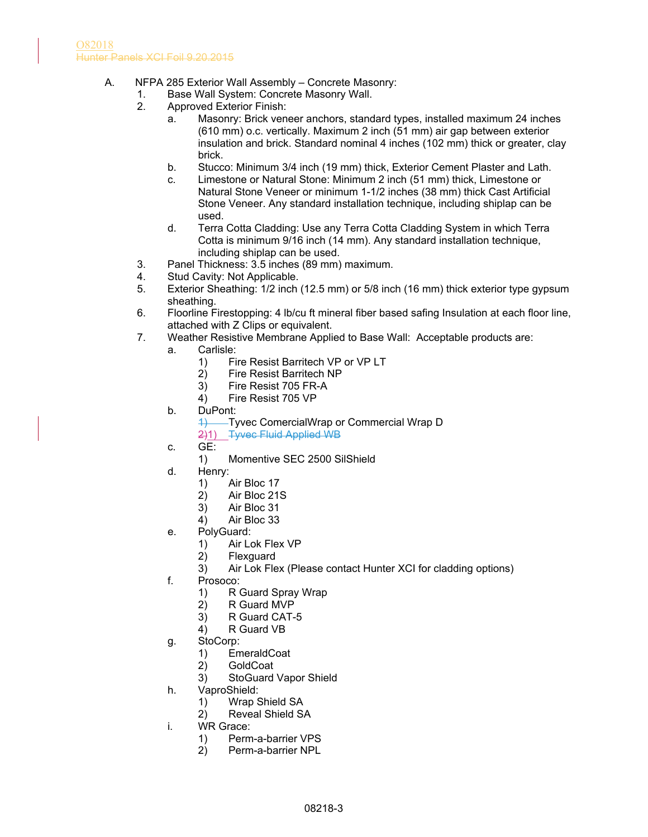- A. NFPA 285 Exterior Wall Assembly Concrete Masonry:
	- 1. Base Wall System: Concrete Masonry Wall.
	- 2. Approved Exterior Finish:
		- a. Masonry: Brick veneer anchors, standard types, installed maximum 24 inches (610 mm) o.c. vertically. Maximum 2 inch (51 mm) air gap between exterior insulation and brick. Standard nominal 4 inches (102 mm) thick or greater, clay brick.
		- b. Stucco: Minimum 3/4 inch (19 mm) thick, Exterior Cement Plaster and Lath.
		- c. Limestone or Natural Stone: Minimum 2 inch (51 mm) thick, Limestone or Natural Stone Veneer or minimum 1-1/2 inches (38 mm) thick Cast Artificial Stone Veneer. Any standard installation technique, including shiplap can be used.
		- d. Terra Cotta Cladding: Use any Terra Cotta Cladding System in which Terra Cotta is minimum 9/16 inch (14 mm). Any standard installation technique, including shiplap can be used.
	- 3. Panel Thickness: 3.5 inches (89 mm) maximum.
	- 4. Stud Cavity: Not Applicable.
	- 5. Exterior Sheathing: 1/2 inch (12.5 mm) or 5/8 inch (16 mm) thick exterior type gypsum sheathing.
	- 6. Floorline Firestopping: 4 lb/cu ft mineral fiber based safing Insulation at each floor line, attached with Z Clips or equivalent.
	- 7. Weather Resistive Membrane Applied to Base Wall: Acceptable products are:
		- a. Carlisle:
			- 1) Fire Resist Barritech VP or VP LT<br>2) Fire Resist Barritech NP
			- 2) Fire Resist Barritech NP
			- 3) Fire Resist 705 FR-A
			- 4) Fire Resist 705 VP
		- b. DuPont:
			- 1) Tyvec ComercialWrap or Commercial Wrap D
			- 2)1) Tyvec Fluid Applied WB
		- c. GE:
			- 1) Momentive SEC 2500 SilShield
		- d. Henry:
			- 1) Air Bloc 17
			- 2) Air Bloc 21S
			- 3) Air Bloc 31
			- 4) Air Bloc 33
		- e. PolyGuard:
			- 1) Air Lok Flex VP
			- 2) Flexguard
			- 3) Air Lok Flex (Please contact Hunter XCI for cladding options)
		- f. Prosoco:
			- 1) R Guard Spray Wrap
			- 2) R Guard MVP
			- 3) R Guard CAT-5
			- 4) R Guard VB
		- g. StoCorp:
			- 1) EmeraldCoat
			- 2) GoldCoat
			- 3) StoGuard Vapor Shield
		- h. VaproShield:
			- 1) Wrap Shield SA
			- 2) Reveal Shield SA
		- i. WR Grace:
			- 1) Perm-a-barrier VPS
			- 2) Perm-a-barrier NPL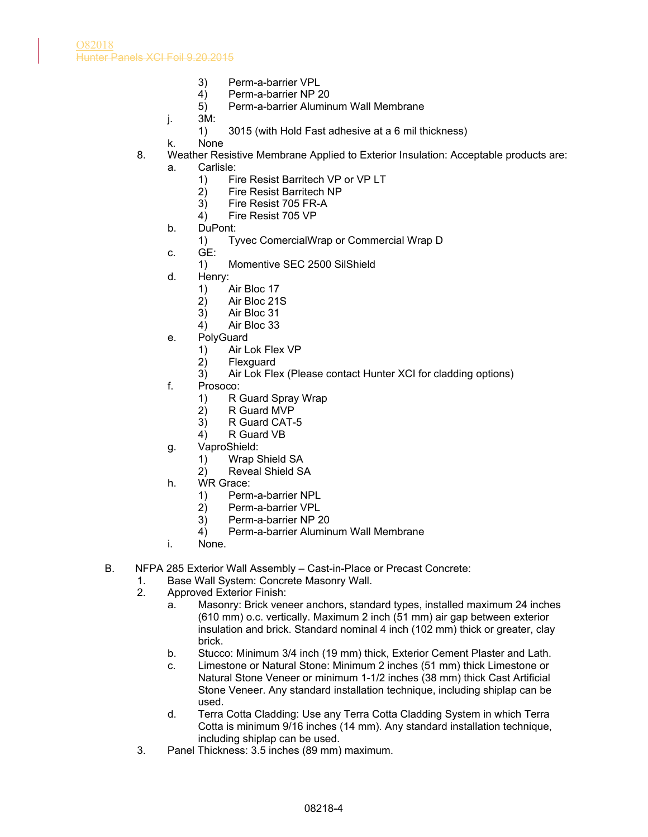- 3) Perm-a-barrier VPL
- 4) Perm-a-barrier NP 20
- 5) Perm-a-barrier Aluminum Wall Membrane
- j. 3M:
	- 1) 3015 (with Hold Fast adhesive at a 6 mil thickness)
- k. None
- 8. Weather Resistive Membrane Applied to Exterior Insulation: Acceptable products are:
	- a. Carlisle:
		- 1) Fire Resist Barritech VP or VP LT<br>2) Fire Resist Barritech NP
		- 2) Fire Resist Barritech NP
		- 3) Fire Resist 705 FR-A
		- 4) Fire Resist 705 VP
	- b. DuPont:
		- 1) Tyvec ComercialWrap or Commercial Wrap D
	- c. GE:
		- 1) Momentive SEC 2500 SilShield
	- d. Henry:
		- 1) Air Bloc 17
		- 2) Air Bloc 21S
		- 3) Air Bloc 31
		- 4) Air Bloc 33
	- e. PolyGuard
		- 1) Air Lok Flex VP<br>2) Flexguard
		- **Flexguard**
		- 3) Air Lok Flex (Please contact Hunter XCI for cladding options)
	- f. Prosoco:
		- 1) R Guard Spray Wrap
		- 2) R Guard MVP
		- 3) R Guard CAT-5
		- 4) R Guard VB
	- g. VaproShield:
		- 1) Wrap Shield SA
		- 2) Reveal Shield SA
	- h. WR Grace:
		- 1) Perm-a-barrier NPL
		- 2) Perm-a-barrier VPL
		- 3) Perm-a-barrier NP 20
		- 4) Perm-a-barrier Aluminum Wall Membrane
	- i. None.
- B. NFPA 285 Exterior Wall Assembly Cast-in-Place or Precast Concrete:
	- 1. Base Wall System: Concrete Masonry Wall.
	- 2. Approved Exterior Finish:
		- a. Masonry: Brick veneer anchors, standard types, installed maximum 24 inches (610 mm) o.c. vertically. Maximum 2 inch (51 mm) air gap between exterior insulation and brick. Standard nominal 4 inch (102 mm) thick or greater, clay brick.
		- b. Stucco: Minimum 3/4 inch (19 mm) thick, Exterior Cement Plaster and Lath.
		- c. Limestone or Natural Stone: Minimum 2 inches (51 mm) thick Limestone or Natural Stone Veneer or minimum 1-1/2 inches (38 mm) thick Cast Artificial Stone Veneer. Any standard installation technique, including shiplap can be used.
		- d. Terra Cotta Cladding: Use any Terra Cotta Cladding System in which Terra Cotta is minimum 9/16 inches (14 mm). Any standard installation technique, including shiplap can be used.
	- 3. Panel Thickness: 3.5 inches (89 mm) maximum.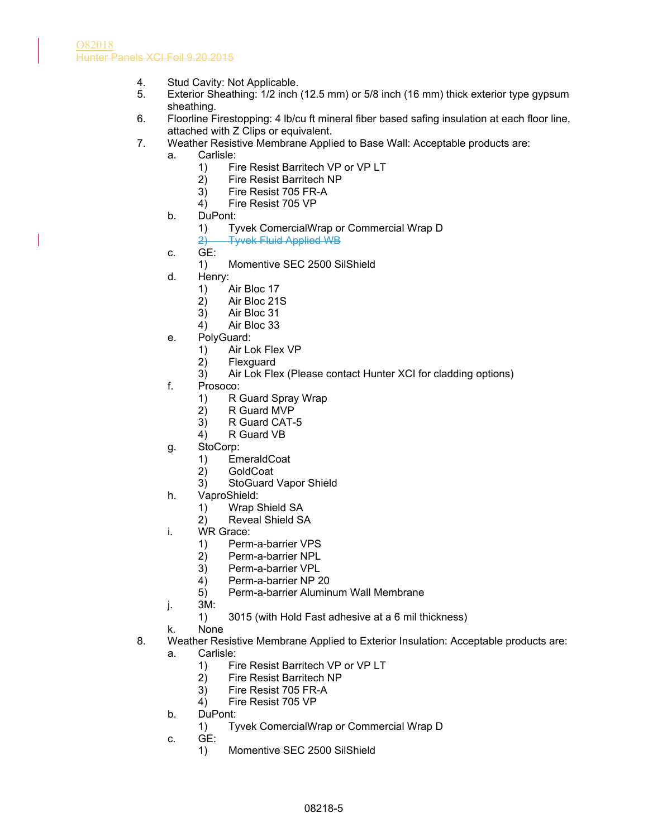- 4. Stud Cavity: Not Applicable.
- 5. Exterior Sheathing: 1/2 inch (12.5 mm) or 5/8 inch (16 mm) thick exterior type gypsum sheathing.
- 6. Floorline Firestopping: 4 lb/cu ft mineral fiber based safing insulation at each floor line, attached with Z Clips or equivalent.
- 7. Weather Resistive Membrane Applied to Base Wall: Acceptable products are:
	- a. Carlisle:
		- 1) Fire Resist Barritech VP or VP LT
		- 2) Fire Resist Barritech NP
		- 3) Fire Resist 705 FR-A
		- 4) Fire Resist 705 VP
	- b. DuPont:
		- 1) Tyvek ComercialWrap or Commercial Wrap D
		- 2) Tyvek Fluid Applied WB
	- c. GE:
		- 1) Momentive SEC 2500 SilShield
	- d. Henry:
		- 1) Air Bloc 17
		- 2) Air Bloc 21S
		- 3) Air Bloc 31
		- 4) Air Bloc 33
	- e. PolyGuard:
		- 1) Air Lok Flex VP<br>2) Flexguard
		- **Flexguard**
		- 3) Air Lok Flex (Please contact Hunter XCI for cladding options)
	- f. Prosoco:
		- 1) R Guard Spray Wrap
		- 2) R Guard MVP
		- 3) R Guard CAT-5
		- 4) R Guard VB
	- g. StoCorp:
		- 1) EmeraldCoat
		- 2) GoldCoat
		- 3) StoGuard Vapor Shield
	- h. VaproShield:
		- 1) Wrap Shield SA
		- 2) Reveal Shield SA
	- i. WR Grace:
		- 1) Perm-a-barrier VPS
		- 2) Perm-a-barrier NPL
		- 3) Perm-a-barrier VPL
		- 4) Perm-a-barrier NP 20
		- 5) Perm-a-barrier Aluminum Wall Membrane
	- j. 3M:
		- 1) 3015 (with Hold Fast adhesive at a 6 mil thickness)
	- k. None
- 8. Weather Resistive Membrane Applied to Exterior Insulation: Acceptable products are:
	- a. Carlisle:
		- 1) Fire Resist Barritech VP or VP LT
		- 2) Fire Resist Barritech NP
		- 3) Fire Resist 705 FR-A
		- 4) Fire Resist 705 VP
	- b. DuPont:
		- 1) Tyvek ComercialWrap or Commercial Wrap D
	- c. GE:
		- 1) Momentive SEC 2500 SilShield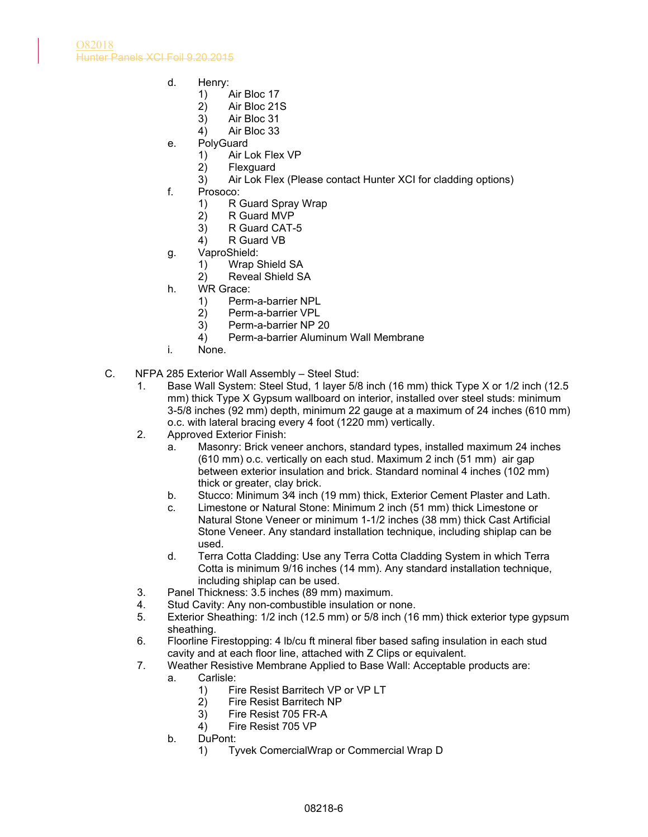- d. Henry:
	- 1) Air Bloc 17
	- 2) Air Bloc 21S
	- 3) Air Bloc 31
	- 4) Air Bloc 33
- e. PolyGuard
	- 1) Air Lok Flex VP
	- 2) Flexguard
	- 3) Air Lok Flex (Please contact Hunter XCI for cladding options)
- f. Prosoco:
	- 1) R Guard Spray Wrap
	- 2) R Guard MVP
	- 3) R Guard CAT-5
	- 4) R Guard VB
- g. VaproShield:
	- 1) Wrap Shield SA
	- 2) Reveal Shield SA
- h. WR Grace:
	- 1) Perm-a-barrier NPL
	- 2) Perm-a-barrier VPL
	- 3) Perm-a-barrier NP 20
	- 4) Perm-a-barrier Aluminum Wall Membrane
- i. None.
- C. NFPA 285 Exterior Wall Assembly Steel Stud:
	- 1. Base Wall System: Steel Stud, 1 layer 5/8 inch (16 mm) thick Type X or 1/2 inch (12.5 mm) thick Type X Gypsum wallboard on interior, installed over steel studs: minimum 3-5/8 inches (92 mm) depth, minimum 22 gauge at a maximum of 24 inches (610 mm) o.c. with lateral bracing every 4 foot (1220 mm) vertically.
	- 2. Approved Exterior Finish:
		- a. Masonry: Brick veneer anchors, standard types, installed maximum 24 inches (610 mm) o.c. vertically on each stud. Maximum 2 inch (51 mm) air gap between exterior insulation and brick. Standard nominal 4 inches (102 mm) thick or greater, clay brick.
		- b. Stucco: Minimum 3⁄4 inch (19 mm) thick, Exterior Cement Plaster and Lath.
		- c. Limestone or Natural Stone: Minimum 2 inch (51 mm) thick Limestone or Natural Stone Veneer or minimum 1-1/2 inches (38 mm) thick Cast Artificial Stone Veneer. Any standard installation technique, including shiplap can be used.
		- d. Terra Cotta Cladding: Use any Terra Cotta Cladding System in which Terra Cotta is minimum 9/16 inches (14 mm). Any standard installation technique, including shiplap can be used.
	- 3. Panel Thickness: 3.5 inches (89 mm) maximum.
	- 4. Stud Cavity: Any non-combustible insulation or none.
	- 5. Exterior Sheathing: 1/2 inch (12.5 mm) or 5/8 inch (16 mm) thick exterior type gypsum sheathing.
	- 6. Floorline Firestopping: 4 lb/cu ft mineral fiber based safing insulation in each stud cavity and at each floor line, attached with Z Clips or equivalent.
	- 7. Weather Resistive Membrane Applied to Base Wall: Acceptable products are:
		- a. Carlisle:
			- 1) Fire Resist Barritech VP or VP LT
			- 2) Fire Resist Barritech NP
			- 3) Fire Resist 705 FR-A
			- 4) Fire Resist 705 VP
		- b. DuPont:
			- 1) Tyvek ComercialWrap or Commercial Wrap D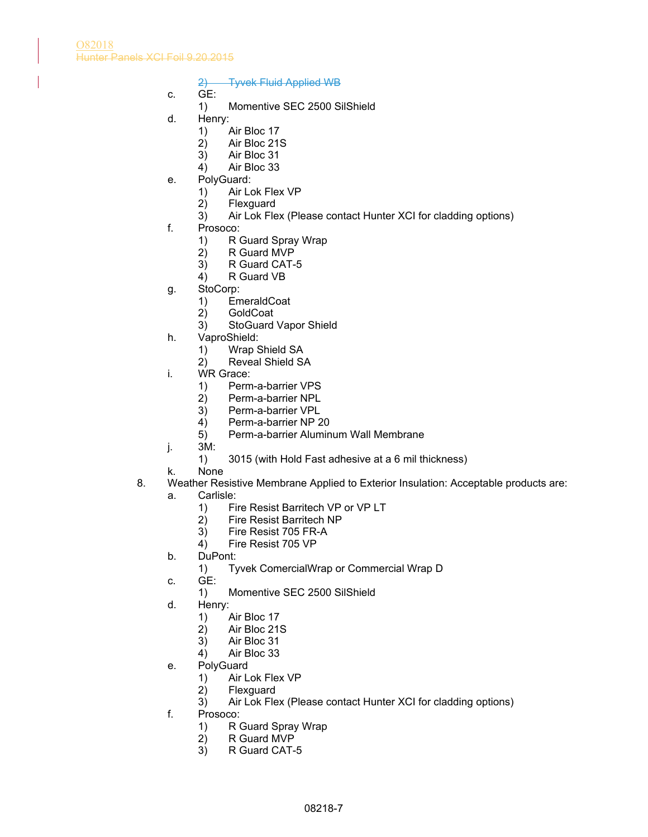O82018 Hunter Panels XCI Foil 9.20.2015

2) Tyvek Fluid Applied WB

- c. GE:
	- 1) Momentive SEC 2500 SilShield
- d. Henry:
	- 1) Air Bloc 17
	- 2) Air Bloc 21S
	- 3) Air Bloc 31
	- 4) Air Bloc 33
- e. PolyGuard:
	- 1) Air Lok Flex VP
	- 2) Flexguard
	- 3) Air Lok Flex (Please contact Hunter XCI for cladding options)
- f. Prosoco:
	- 1) R Guard Spray Wrap
	- 2) R Guard MVP
	- 3) R Guard CAT-5
	- 4) R Guard VB
- g. StoCorp:
	- 1) EmeraldCoat
	- 2) GoldCoat
	- 3) StoGuard Vapor Shield
- h. VaproShield:
	- 1) Wrap Shield SA
	- 2) Reveal Shield SA
- i. WR Grace:
	- 1) Perm-a-barrier VPS
	- 2) Perm-a-barrier NPL
	- 3) Perm-a-barrier VPL
	- 4) Perm-a-barrier NP 20
	- 5) Perm-a-barrier Aluminum Wall Membrane
- j. 3M:
	- 1) 3015 (with Hold Fast adhesive at a 6 mil thickness)
- k. None
- 8. Weather Resistive Membrane Applied to Exterior Insulation: Acceptable products are:
	- a. Carlisle:
		- 1) Fire Resist Barritech VP or VP LT
		- 2) Fire Resist Barritech NP
		- 3) Fire Resist 705 FR-A
		- 4) Fire Resist 705 VP
	- b. DuPont:
		- 1) Tyvek ComercialWrap or Commercial Wrap D
	- c. GE:
		- 1) Momentive SEC 2500 SilShield
	- d. Henry:
		- 1) Air Bloc 17
		- 2) Air Bloc 21S
		- 3) Air Bloc 31
		- 4) Air Bloc 33
	- e. PolyGuard
		- 1) Air Lok Flex VP
		- 2) Flexguard
		- 3) Air Lok Flex (Please contact Hunter XCI for cladding options)
	- f. Prosoco:
		- 1) R Guard Spray Wrap<br>2) R Guard MVP
		- R Guard MVP
		- 3) R Guard CAT-5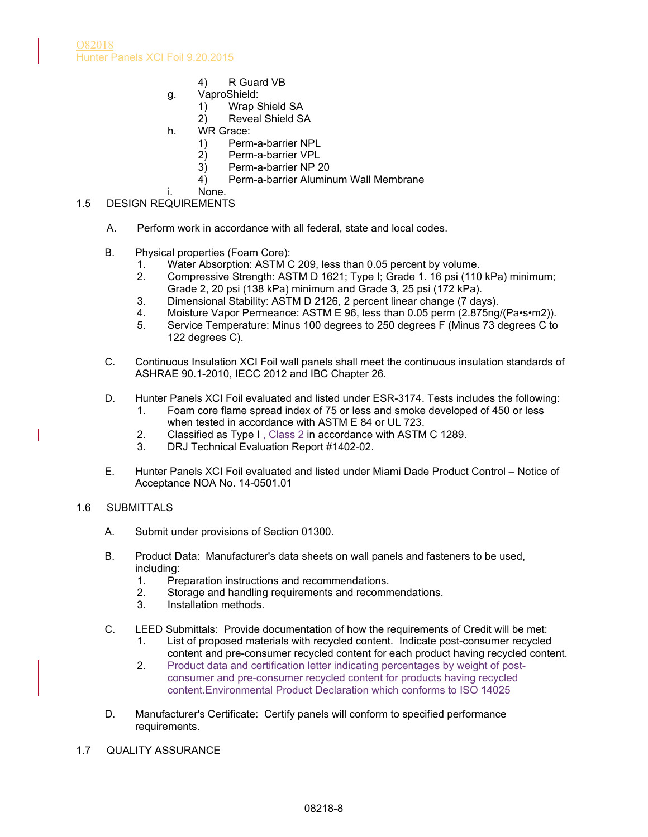- 4) R Guard VB
- g. VaproShield:
	- 1) Wrap Shield SA
	- 2) Reveal Shield SA
- h. WR Grace:
	- 1) Perm-a-barrier NPL
		- 2) Perm-a-barrier VPL
		- 3) Perm-a-barrier NP 20
		- 4) Perm-a-barrier Aluminum Wall Membrane
- i. None.
- 1.5 DESIGN REQUIREMENTS
	- A. Perform work in accordance with all federal, state and local codes.
	- B. Physical properties (Foam Core):
		- 1. Water Absorption: ASTM C 209, less than 0.05 percent by volume.
		- 2. Compressive Strength: ASTM D 1621; Type I; Grade 1. 16 psi (110 kPa) minimum; Grade 2, 20 psi (138 kPa) minimum and Grade 3, 25 psi (172 kPa).
		- 3. Dimensional Stability: ASTM D 2126, 2 percent linear change (7 days).
		-
		- 4. Moisture Vapor Permeance: ASTM E 96, less than 0.05 perm (2.875ng/(Pa•s•m2)).<br>5. Service Temperature: Minus 100 degrees to 250 degrees F (Minus 73 degrees C to Service Temperature: Minus 100 degrees to 250 degrees F (Minus 73 degrees C to 122 degrees C).
	- C. Continuous Insulation XCI Foil wall panels shall meet the continuous insulation standards of ASHRAE 90.1-2010, IECC 2012 and IBC Chapter 26.
	- D. Hunter Panels XCI Foil evaluated and listed under ESR-3174. Tests includes the following:
		- 1. Foam core flame spread index of 75 or less and smoke developed of 450 or less when tested in accordance with ASTM E 84 or UL 723.
		- 2. Classified as Type I, Class 2 in accordance with ASTM C 1289.
		- 3. DRJ Technical Evaluation Report #1402-02.
	- E. Hunter Panels XCI Foil evaluated and listed under Miami Dade Product Control Notice of Acceptance NOA No. 14-0501.01

### 1.6 SUBMITTALS

- A. Submit under provisions of Section 01300.
- B. Product Data: Manufacturer's data sheets on wall panels and fasteners to be used, including:
	- 1. Preparation instructions and recommendations.
	- 2. Storage and handling requirements and recommendations.
	- 3. Installation methods.
- C. LEED Submittals: Provide documentation of how the requirements of Credit will be met:
	- 1. List of proposed materials with recycled content. Indicate post-consumer recycled content and pre-consumer recycled content for each product having recycled content.
	- 2. Product data and certification letter indicating percentages by weight of postconsumer and pre-consumer recycled content for products having recycled content.Environmental Product Declaration which conforms to ISO 14025
- D. Manufacturer's Certificate: Certify panels will conform to specified performance requirements.
- 1.7 QUALITY ASSURANCE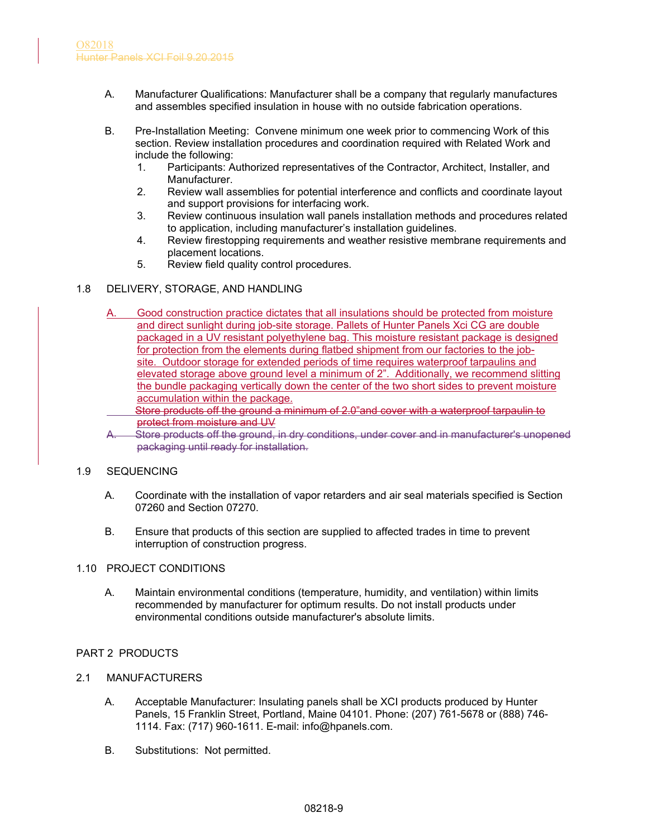- A. Manufacturer Qualifications: Manufacturer shall be a company that regularly manufactures and assembles specified insulation in house with no outside fabrication operations.
- B. Pre-Installation Meeting: Convene minimum one week prior to commencing Work of this section. Review installation procedures and coordination required with Related Work and include the following:
	- 1. Participants: Authorized representatives of the Contractor, Architect, Installer, and Manufacturer.
	- 2. Review wall assemblies for potential interference and conflicts and coordinate layout and support provisions for interfacing work.
	- 3. Review continuous insulation wall panels installation methods and procedures related to application, including manufacturer's installation guidelines.
	- 4. Review firestopping requirements and weather resistive membrane requirements and placement locations.
	- 5. Review field quality control procedures.

# 1.8 DELIVERY, STORAGE, AND HANDLING

- A. Good construction practice dictates that all insulations should be protected from moisture and direct sunlight during job-site storage. Pallets of Hunter Panels Xci CG are double packaged in a UV resistant polyethylene bag. This moisture resistant package is designed for protection from the elements during flatbed shipment from our factories to the jobsite. Outdoor storage for extended periods of time requires waterproof tarpaulins and elevated storage above ground level a minimum of 2". Additionally, we recommend slitting the bundle packaging vertically down the center of the two short sides to prevent moisture accumulation within the package.
	- Store products off the ground a minimum of 2.0"and cover with a waterproof tarpaulin to protect from moisture and UV
- A. Store products off the ground, in dry conditions, under cover and in manufacturer's unopened packaging until ready for installation.

### 1.9 SEQUENCING

- A. Coordinate with the installation of vapor retarders and air seal materials specified is Section 07260 and Section 07270.
- B. Ensure that products of this section are supplied to affected trades in time to prevent interruption of construction progress.

### 1.10 PROJECT CONDITIONS

A. Maintain environmental conditions (temperature, humidity, and ventilation) within limits recommended by manufacturer for optimum results. Do not install products under environmental conditions outside manufacturer's absolute limits.

# PART 2 PRODUCTS

- 2.1 MANUFACTURERS
	- A. Acceptable Manufacturer: Insulating panels shall be XCI products produced by Hunter Panels, 15 Franklin Street, Portland, Maine 04101. Phone: (207) 761-5678 or (888) 746- 1114. Fax: (717) 960-1611. E-mail: info@hpanels.com.
	- B. Substitutions: Not permitted.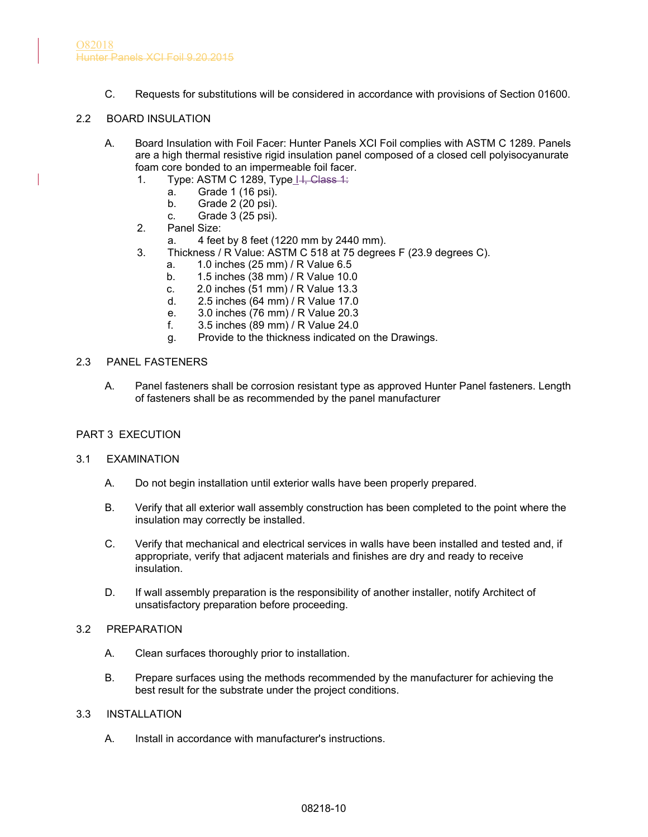C. Requests for substitutions will be considered in accordance with provisions of Section 01600.

# 2.2 BOARD INSULATION

- A. Board Insulation with Foil Facer: Hunter Panels XCI Foil complies with ASTM C 1289. Panels are a high thermal resistive rigid insulation panel composed of a closed cell polyisocyanurate foam core bonded to an impermeable foil facer.
	- 1. Type: ASTM C 1289, Type IH, Class 1:
		- a. Grade 1 (16 psi).
		- b. Grade 2 (20 psi).
		- c. Grade 3 (25 psi).
	- 2. Panel Size:
		- a. 4 feet by 8 feet (1220 mm by 2440 mm).
	- 3. Thickness / R Value: ASTM C 518 at 75 degrees F (23.9 degrees C).
		- a. 1.0 inches (25 mm) / R Value 6.5
		- b. 1.5 inches (38 mm) / R Value 10.0
		- c. 2.0 inches (51 mm) / R Value 13.3
		- d. 2.5 inches (64 mm) / R Value 17.0
		- e. 3.0 inches (76 mm) / R Value 20.3
		- f. 3.5 inches (89 mm) / R Value 24.0
		- g. Provide to the thickness indicated on the Drawings.

### 2.3 PANEL FASTENERS

A. Panel fasteners shall be corrosion resistant type as approved Hunter Panel fasteners. Length of fasteners shall be as recommended by the panel manufacturer

### PART 3 EXECUTION

### 3.1 EXAMINATION

- A. Do not begin installation until exterior walls have been properly prepared.
- B. Verify that all exterior wall assembly construction has been completed to the point where the insulation may correctly be installed.
- C. Verify that mechanical and electrical services in walls have been installed and tested and, if appropriate, verify that adjacent materials and finishes are dry and ready to receive insulation.
- D. If wall assembly preparation is the responsibility of another installer, notify Architect of unsatisfactory preparation before proceeding.

# 3.2 PREPARATION

- A. Clean surfaces thoroughly prior to installation.
- B. Prepare surfaces using the methods recommended by the manufacturer for achieving the best result for the substrate under the project conditions.

### 3.3 INSTALLATION

A. Install in accordance with manufacturer's instructions.